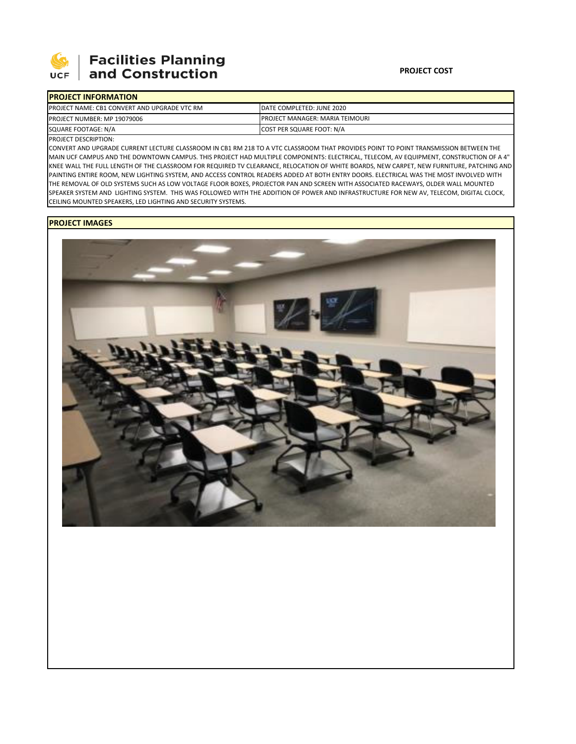

## **Facilities Planning** and Construction

| <b>IPROJECT INFORMATION</b>                         |                                         |
|-----------------------------------------------------|-----------------------------------------|
| <b>PROJECT NAME: CB1 CONVERT AND UPGRADE VTC RM</b> | DATE COMPLETED: JUNE 2020               |
| <b>PROJECT NUMBER: MP 19079006</b>                  | <b>IPROJECT MANAGER: MARIA TEIMOURI</b> |
| SQUARE FOOTAGE: N/A                                 | COST PER SQUARE FOOT: N/A               |

PROJECT DESCRIPTION:

CONVERT AND UPGRADE CURRENT LECTURE CLASSROOM IN CB1 RM 218 TO A VTC CLASSROOM THAT PROVIDES POINT TO POINT TRANSMISSION BETWEEN THE MAIN UCF CAMPUS AND THE DOWNTOWN CAMPUS. THIS PROJECT HAD MULTIPLE COMPONENTS: ELECTRICAL, TELECOM, AV EQUIPMENT, CONSTRUCTION OF A 4" KNEE WALL THE FULL LENGTH OF THE CLASSROOM FOR REQUIRED TV CLEARANCE, RELOCATION OF WHITE BOARDS, NEW CARPET, NEW FURNITURE, PATCHING AND PAINTING ENTIRE ROOM, NEW LIGHTING SYSTEM, AND ACCESS CONTROL READERS ADDED AT BOTH ENTRY DOORS. ELECTRICAL WAS THE MOST INVOLVED WITH THE REMOVAL OF OLD SYSTEMS SUCH AS LOW VOLTAGE FLOOR BOXES, PROJECTOR PAN AND SCREEN WITH ASSOCIATED RACEWAYS, OLDER WALL MOUNTED SPEAKER SYSTEM AND LIGHTING SYSTEM. THIS WAS FOLLOWED WITH THE ADDITION OF POWER AND INFRASTRUCTURE FOR NEW AV, TELECOM, DIGITAL CLOCK, CEILING MOUNTED SPEAKERS, LED LIGHTING AND SECURITY SYSTEMS.

## **PROJECT IMAGES**